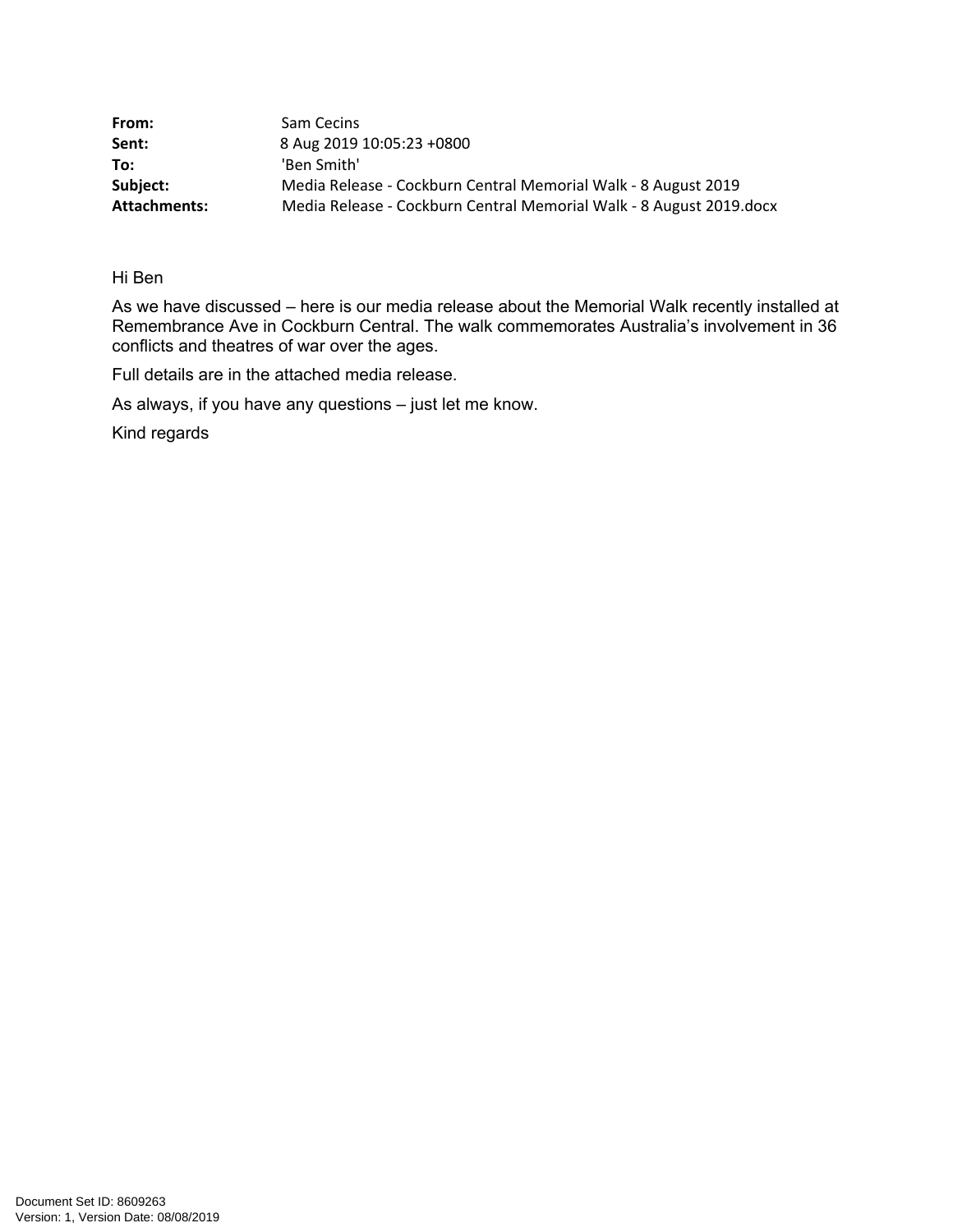| From:        | Sam Cecins                                                          |
|--------------|---------------------------------------------------------------------|
| Sent:        | 8 Aug 2019 10:05:23 +0800                                           |
| To:          | 'Ben Smith'                                                         |
| Subject:     | Media Release - Cockburn Central Memorial Walk - 8 August 2019      |
| Attachments: | Media Release - Cockburn Central Memorial Walk - 8 August 2019.docx |

Hi Ben

As we have discussed – here is our media release about the Memorial Walk recently installed at Remembrance Ave in Cockburn Central. The walk commemorates Australia's involvement in 36 conflicts and theatres of war over the ages.

Full details are in the attached media release.

As always, if you have any questions – just let me know.

Kind regards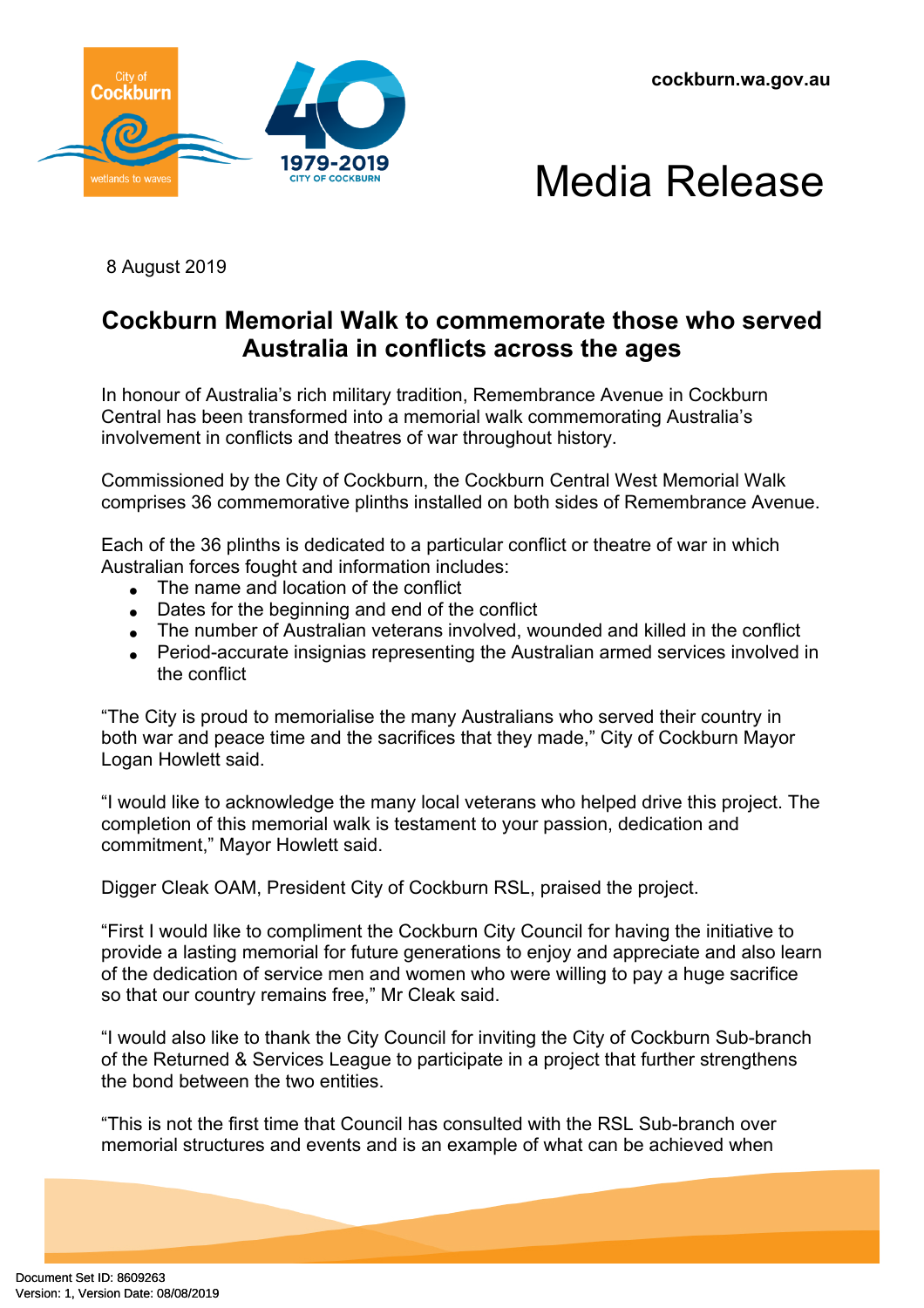**cockburn.wa.gov.au**





8 August 2019

## **Cockburn Memorial Walk to commemorate those who served Australia in conflicts across the ages**

In honour of Australia's rich military tradition, Remembrance Avenue in Cockburn Central has been transformed into a memorial walk commemorating Australia's involvement in conflicts and theatres of war throughout history.

Commissioned by the City of Cockburn, the Cockburn Central West Memorial Walk comprises 36 commemorative plinths installed on both sides of Remembrance Avenue.

Each of the 36 plinths is dedicated to a particular conflict or theatre of war in which Australian forces fought and information includes:

- The name and location of the conflict
- Dates for the beginning and end of the conflict
- The number of Australian veterans involved, wounded and killed in the conflict
- Period-accurate insignias representing the Australian armed services involved in the conflict

"The City is proud to memorialise the many Australians who served their country in both war and peace time and the sacrifices that they made," City of Cockburn Mayor Logan Howlett said.

"I would like to acknowledge the many local veterans who helped drive this project. The completion of this memorial walk is testament to your passion, dedication and commitment," Mayor Howlett said.

Digger Cleak OAM, President City of Cockburn RSL, praised the project.

"First I would like to compliment the Cockburn City Council for having the initiative to provide a lasting memorial for future generations to enjoy and appreciate and also learn of the dedication of service men and women who were willing to pay a huge sacrifice so that our country remains free," Mr Cleak said.

"I would also like to thank the City Council for inviting the City of Cockburn Sub-branch of the Returned & Services League to participate in a project that further strengthens the bond between the two entities.

"This is not the first time that Council has consulted with the RSL Sub-branch over memorial structures and events and is an example of what can be achieved when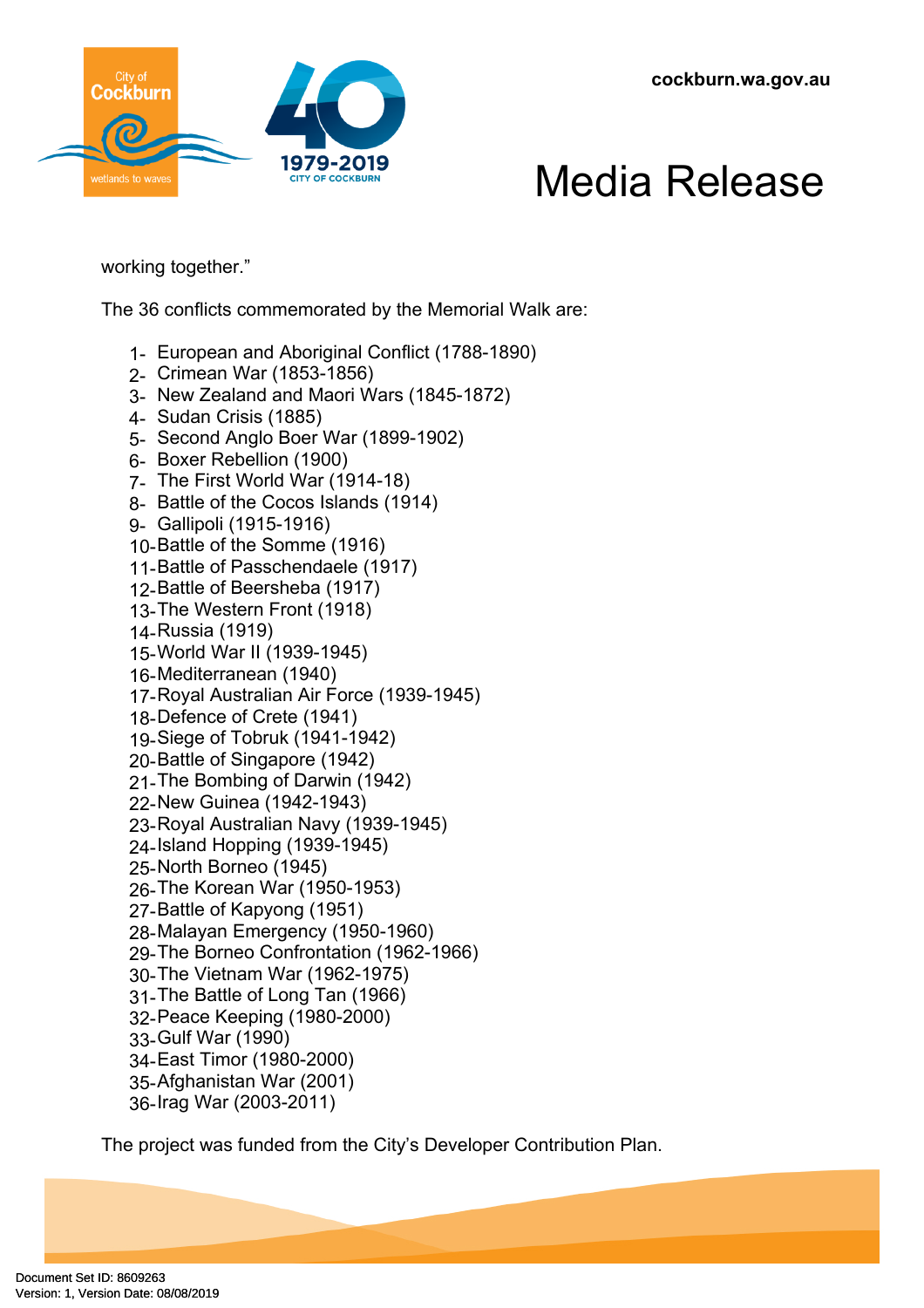



working together."

The 36 conflicts commemorated by the Memorial Walk are:

- 1- European and Aboriginal Conflict (1788-1890)
- 2- Crimean War (1853-1856)
- 3- New Zealand and Maori Wars (1845-1872)
- 4- Sudan Crisis (1885)
- 5- Second Anglo Boer War (1899-1902)
- 6- Boxer Rebellion (1900)
- 7- The First World War (1914-18)
- 8- Battle of the Cocos Islands (1914)
- 9- Gallipoli (1915-1916)
- 10-Battle of the Somme (1916)
- 11-Battle of Passchendaele (1917)
- 12-Battle of Beersheba (1917)
- 13-The Western Front (1918)
- 14-Russia (1919)
- 15-World War II (1939-1945)
- 16-Mediterranean (1940)
- 17-Royal Australian Air Force (1939-1945)
- 18-Defence of Crete (1941)
- 19-Siege of Tobruk (1941-1942)
- 20-Battle of Singapore (1942)
- 21-The Bombing of Darwin (1942)
- 22-New Guinea (1942-1943)
- 23-Royal Australian Navy (1939-1945)
- 24-Island Hopping (1939-1945)
- 25-North Borneo (1945)
- 26-The Korean War (1950-1953)
- 27-Battle of Kapyong (1951)
- 28-Malayan Emergency (1950-1960)
- 29-The Borneo Confrontation (1962-1966)
- 30-The Vietnam War (1962-1975)
- 31-The Battle of Long Tan (1966)
- 32-Peace Keeping (1980-2000)
- 33-Gulf War (1990)
- 34-East Timor (1980-2000)
- 35-Afghanistan War (2001)
- 36-Irag War (2003-2011)

The project was funded from the City's Developer Contribution Plan.